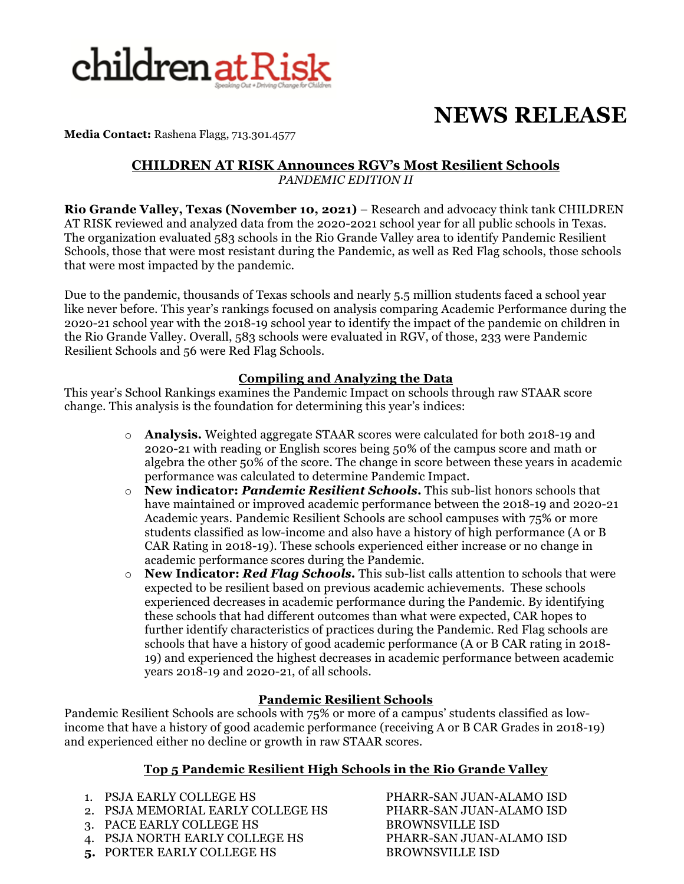

# **NEWS RELEASE**

**Media Contact:** Rashena Flagg, 713.301.4577

#### **CHILDREN AT RISK Announces RGV's Most Resilient Schools**  *PANDEMIC EDITION II*

**Rio Grande Valley, Texas (November 10, 2021)** – Research and advocacy think tank CHILDREN AT RISK reviewed and analyzed data from the 2020-2021 school year for all public schools in Texas. The organization evaluated 583 schools in the Rio Grande Valley area to identify Pandemic Resilient Schools, those that were most resistant during the Pandemic, as well as Red Flag schools, those schools that were most impacted by the pandemic.

Due to the pandemic, thousands of Texas schools and nearly 5.5 million students faced a school year like never before. This year's rankings focused on analysis comparing Academic Performance during the 2020-21 school year with the 2018-19 school year to identify the impact of the pandemic on children in the Rio Grande Valley. Overall, 583 schools were evaluated in RGV, of those, 233 were Pandemic Resilient Schools and 56 were Red Flag Schools.

### **Compiling and Analyzing the Data**

This year's School Rankings examines the Pandemic Impact on schools through raw STAAR score change. This analysis is the foundation for determining this year's indices:

- o **Analysis.** Weighted aggregate STAAR scores were calculated for both 2018-19 and 2020-21 with reading or English scores being 50% of the campus score and math or algebra the other 50% of the score. The change in score between these years in academic performance was calculated to determine Pandemic Impact.
- o **New indicator:** *Pandemic Resilient Schools***.** This sub-list honors schools that have maintained or improved academic performance between the 2018-19 and 2020-21 Academic years. Pandemic Resilient Schools are school campuses with 75% or more students classified as low-income and also have a history of high performance (A or B CAR Rating in 2018-19). These schools experienced either increase or no change in academic performance scores during the Pandemic.
- o **New Indicator:** *Red Flag Schools.* This sub-list calls attention to schools that were expected to be resilient based on previous academic achievements. These schools experienced decreases in academic performance during the Pandemic. By identifying these schools that had different outcomes than what were expected, CAR hopes to further identify characteristics of practices during the Pandemic. Red Flag schools are schools that have a history of good academic performance (A or B CAR rating in 2018- 19) and experienced the highest decreases in academic performance between academic years 2018-19 and 2020-21, of all schools.

### **Pandemic Resilient Schools**

Pandemic Resilient Schools are schools with 75% or more of a campus' students classified as lowincome that have a history of good academic performance (receiving A or B CAR Grades in 2018-19) and experienced either no decline or growth in raw STAAR scores.

### **Top 5 Pandemic Resilient High Schools in the Rio Grande Valley**

- 
- 2. PSJA MEMORIAL EARLY COLLEGE HS PHARR-SAN JUAN-ALAMO ISD
- 3. PACE EARLY COLLEGE HS BROWNSVILLE ISD
- 4. PSJA NORTH EARLY COLLEGE HS PHARR-SAN JUAN-ALAMO ISD
- 5. PORTER EARLY COLLEGE HS<br>BROWNSVILLE ISD

1. PSJA EARLY COLLEGE HS PHARR-SAN JUAN-ALAMO ISD